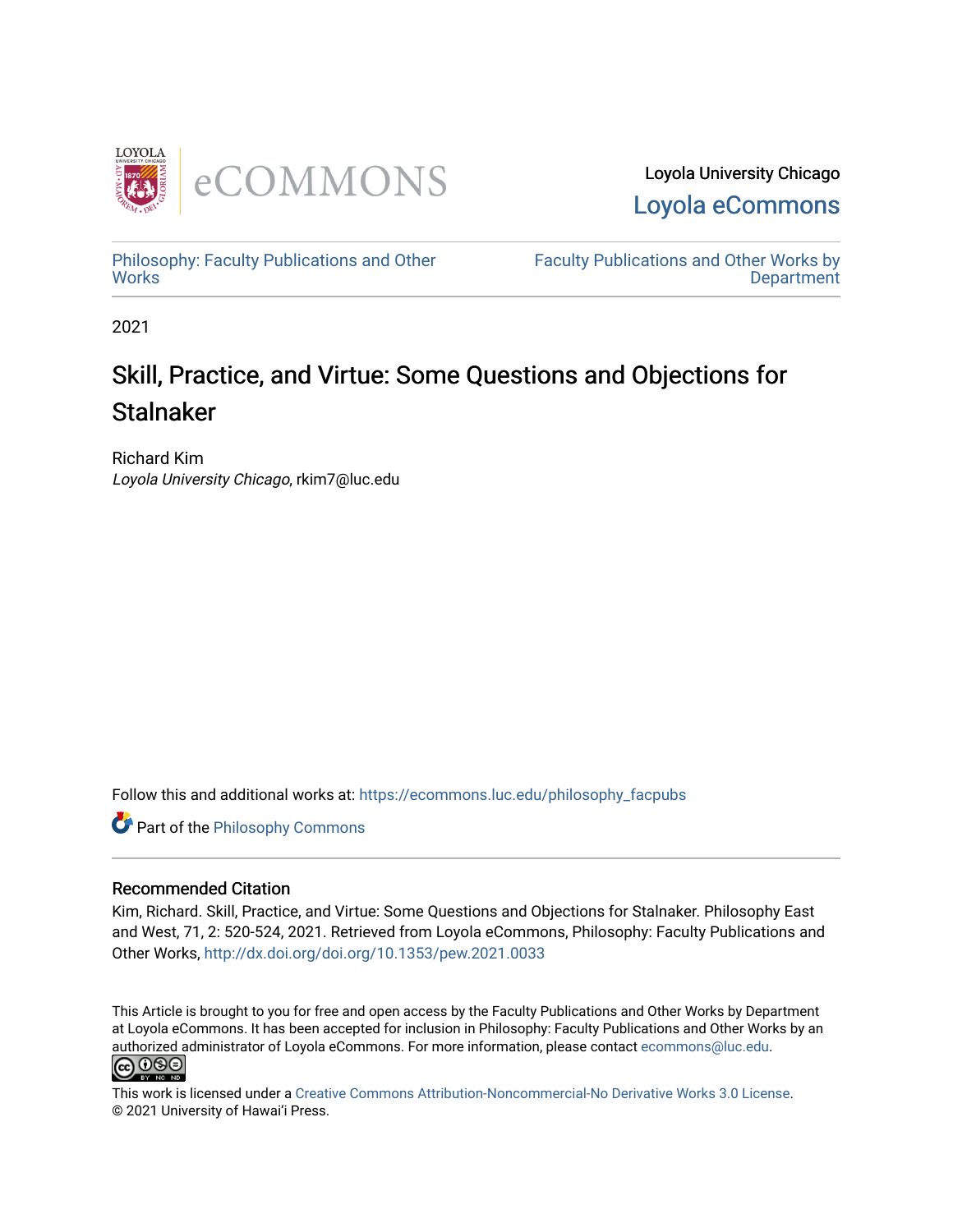

Loyola University Chicago [Loyola eCommons](https://ecommons.luc.edu/) 

[Philosophy: Faculty Publications and Other](https://ecommons.luc.edu/philosophy_facpubs) **Works** 

[Faculty Publications and Other Works by](https://ecommons.luc.edu/faculty)  **Department** 

2021

# Skill, Practice, and Virtue: Some Questions and Objections for Stalnaker

Richard Kim Loyola University Chicago, rkim7@luc.edu

Follow this and additional works at: [https://ecommons.luc.edu/philosophy\\_facpubs](https://ecommons.luc.edu/philosophy_facpubs?utm_source=ecommons.luc.edu%2Fphilosophy_facpubs%2F56&utm_medium=PDF&utm_campaign=PDFCoverPages)

Part of the [Philosophy Commons](https://network.bepress.com/hgg/discipline/525?utm_source=ecommons.luc.edu%2Fphilosophy_facpubs%2F56&utm_medium=PDF&utm_campaign=PDFCoverPages) 

### Recommended Citation

Kim, Richard. Skill, Practice, and Virtue: Some Questions and Objections for Stalnaker. Philosophy East and West, 71, 2: 520-524, 2021. Retrieved from Loyola eCommons, Philosophy: Faculty Publications and Other Works,<http://dx.doi.org/doi.org/10.1353/pew.2021.0033>

This Article is brought to you for free and open access by the Faculty Publications and Other Works by Department at Loyola eCommons. It has been accepted for inclusion in Philosophy: Faculty Publications and Other Works by an authorized administrator of Loyola eCommons. For more information, please contact [ecommons@luc.edu](mailto:ecommons@luc.edu).<br>  $\boxed{\text{c}0\,\text{O}\otimes\text{O}}$ 



This work is licensed under a [Creative Commons Attribution-Noncommercial-No Derivative Works 3.0 License.](https://creativecommons.org/licenses/by-nc-nd/3.0/) © 2021 University of Hawai'i Press.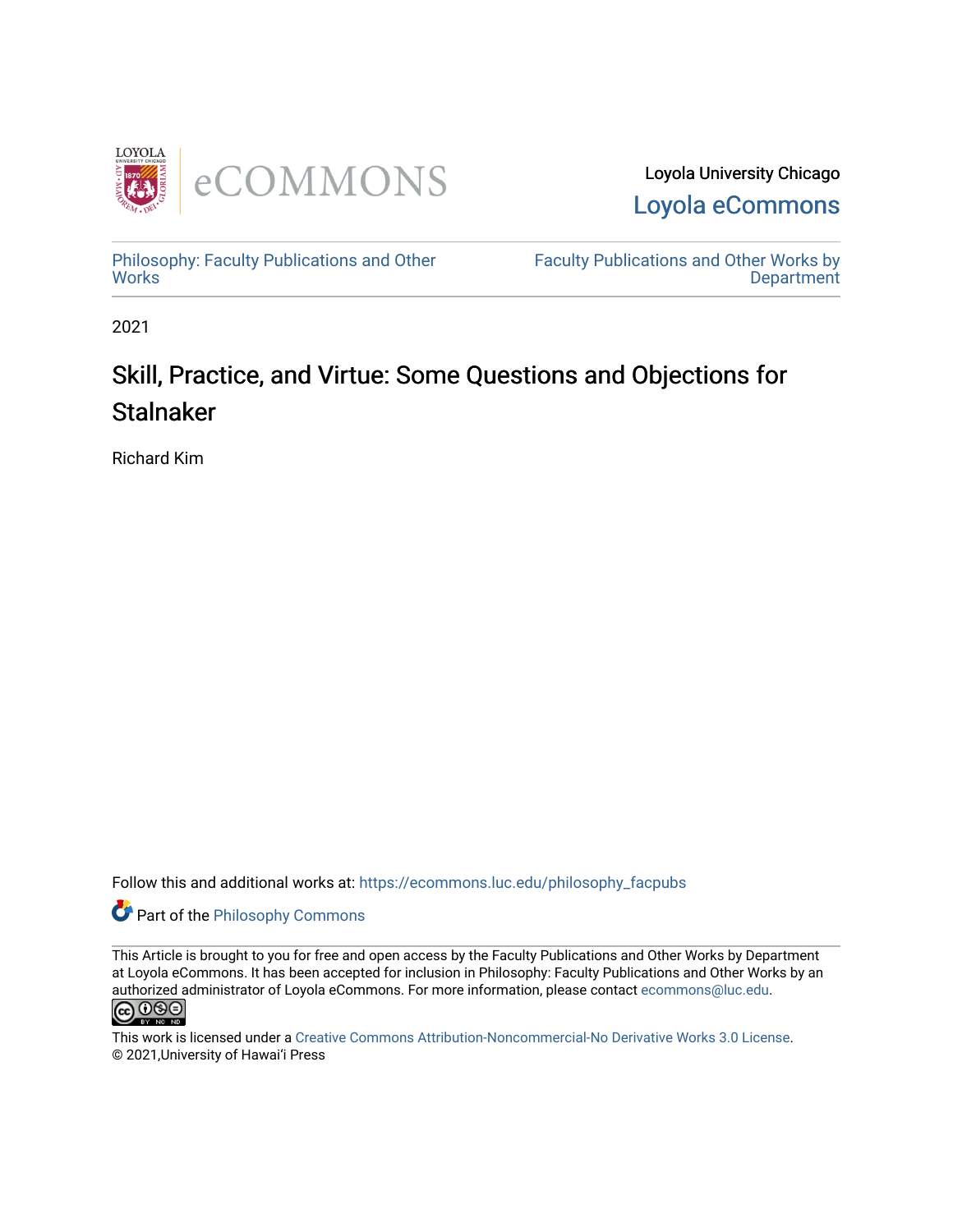

Loyola University Chicago [Loyola eCommons](https://ecommons.luc.edu/) 

[Philosophy: Faculty Publications and Other](https://ecommons.luc.edu/philosophy_facpubs) **Works** 

[Faculty Publications and Other Works by](https://ecommons.luc.edu/faculty)  **Department** 

2021

# Skill, Practice, and Virtue: Some Questions and Objections for Stalnaker

Richard Kim

Follow this and additional works at: [https://ecommons.luc.edu/philosophy\\_facpubs](https://ecommons.luc.edu/philosophy_facpubs?utm_source=ecommons.luc.edu%2Fphilosophy_facpubs%2F1&utm_medium=PDF&utm_campaign=PDFCoverPages)

## Part of the [Philosophy Commons](https://network.bepress.com/hgg/discipline/525?utm_source=ecommons.luc.edu%2Fphilosophy_facpubs%2F1&utm_medium=PDF&utm_campaign=PDFCoverPages)

This Article is brought to you for free and open access by the Faculty Publications and Other Works by Department at Loyola eCommons. It has been accepted for inclusion in Philosophy: Faculty Publications and Other Works by an authorized administrator of Loyola eCommons. For more information, please contact [ecommons@luc.edu](mailto:ecommons@luc.edu).<br>  $\boxed{\text{c}$  000

This work is licensed under a [Creative Commons Attribution-Noncommercial-No Derivative Works 3.0 License.](https://creativecommons.org/licenses/by-nc-nd/3.0/) © 2021,University of Hawai'i Press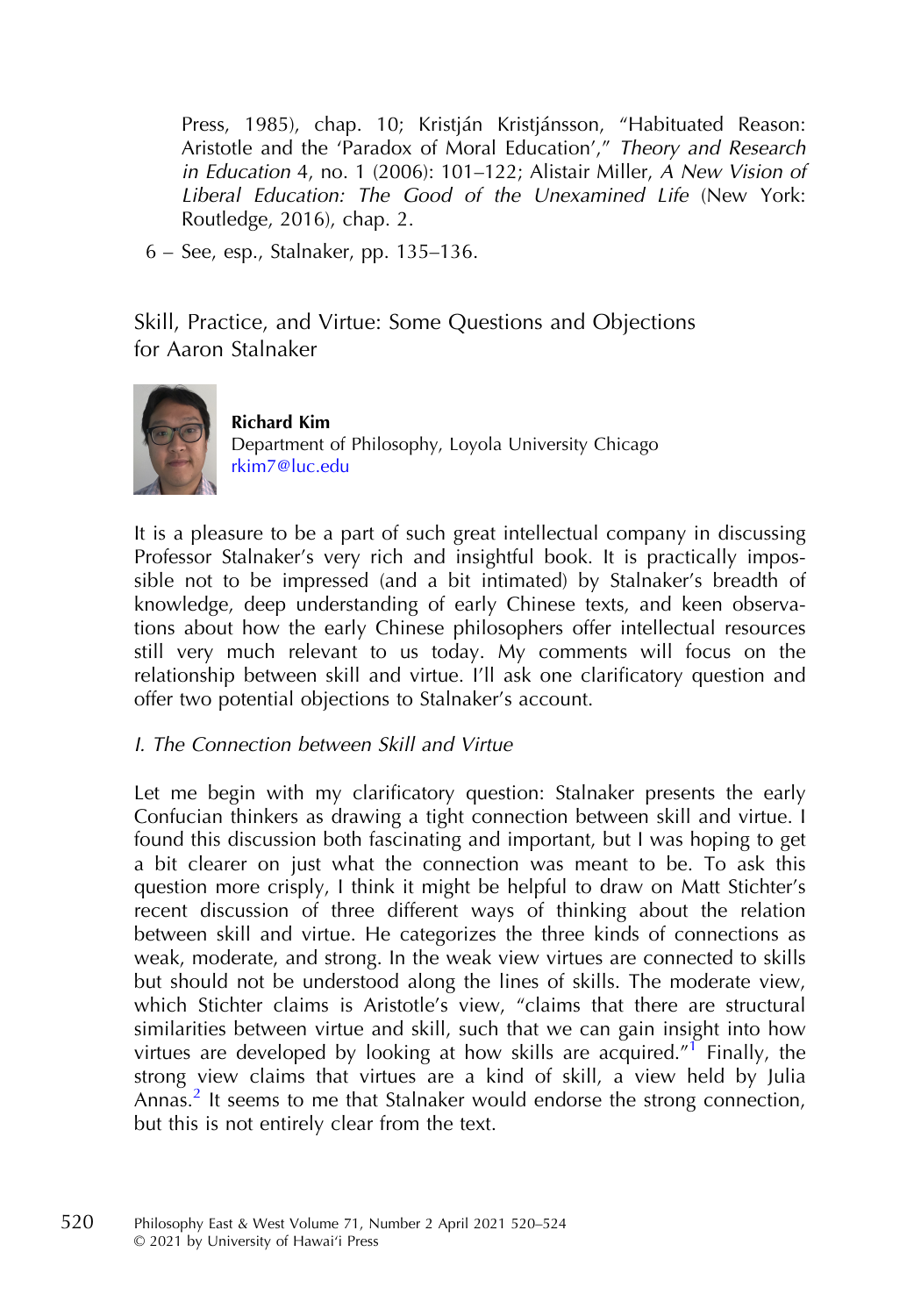<span id="page-2-0"></span>Press, 1985), chap. 10; Kristján Kristjánsson, "Habituated Reason: Aristotle and the 'Paradox of Moral Education'," Theory and Research in Education 4, no. 1 (2006): 101–122; Alistair Miller, <sup>A</sup> New Vision of Liberal Education: The Good of the Unexamined Life (New York: Routledge, 2016), chap. 2.

6 – See, esp., Stalnaker, pp. 135–136.

Skill, Practice, and Virtue: Some Questions and Objections for Aaron Stalnaker



Richard Kim Department of Philosophy, Loyola University Chicago [rkim7@luc.edu](mailto:astalnak@indiana.edu)

It is a pleasure to be a part of such great intellectual company in discussing Professor Stalnaker's very rich and insightful book. It is practically impossible not to be impressed (and a bit intimated) by Stalnaker's breadth of knowledge, deep understanding of early Chinese texts, and keen observations about how the early Chinese philosophers offer intellectual resources still very much relevant to us today. My comments will focus on the relationship between skill and virtue. I'll ask one clarificatory question and offer two potential objections to Stalnaker's account.

## I. The Connection between Skill and Virtue

Let me begin with my clarificatory question: Stalnaker presents the early Confucian thinkers as drawing a tight connection between skill and virtue. I found this discussion both fascinating and important, but I was hoping to get a bit clearer on just what the connection was meant to be. To ask this question more crisply, I think it might be helpful to draw on Matt Stichter's recent discussion of three different ways of thinking about the relation between skill and virtue. He categorizes the three kinds of connections as weak, moderate, and strong. In the weak view virtues are connected to skills but should not be understood along the lines of skills. The moderate view, which Stichter claims is Aristotle's view, "claims that there are structural similarities between virtue and skill, such that we can gain insight into how virtues are developed by looking at how skills are acquired."<sup>1</sup> [Finally, the](#page--1-0) strong view claims that virtues are a kind of skill, a view held by Julia Annas.<sup>2</sup> [It seems to me that Stalnaker would endorse the strong connection,](#page--1-0) but this is not entirely clear from the text.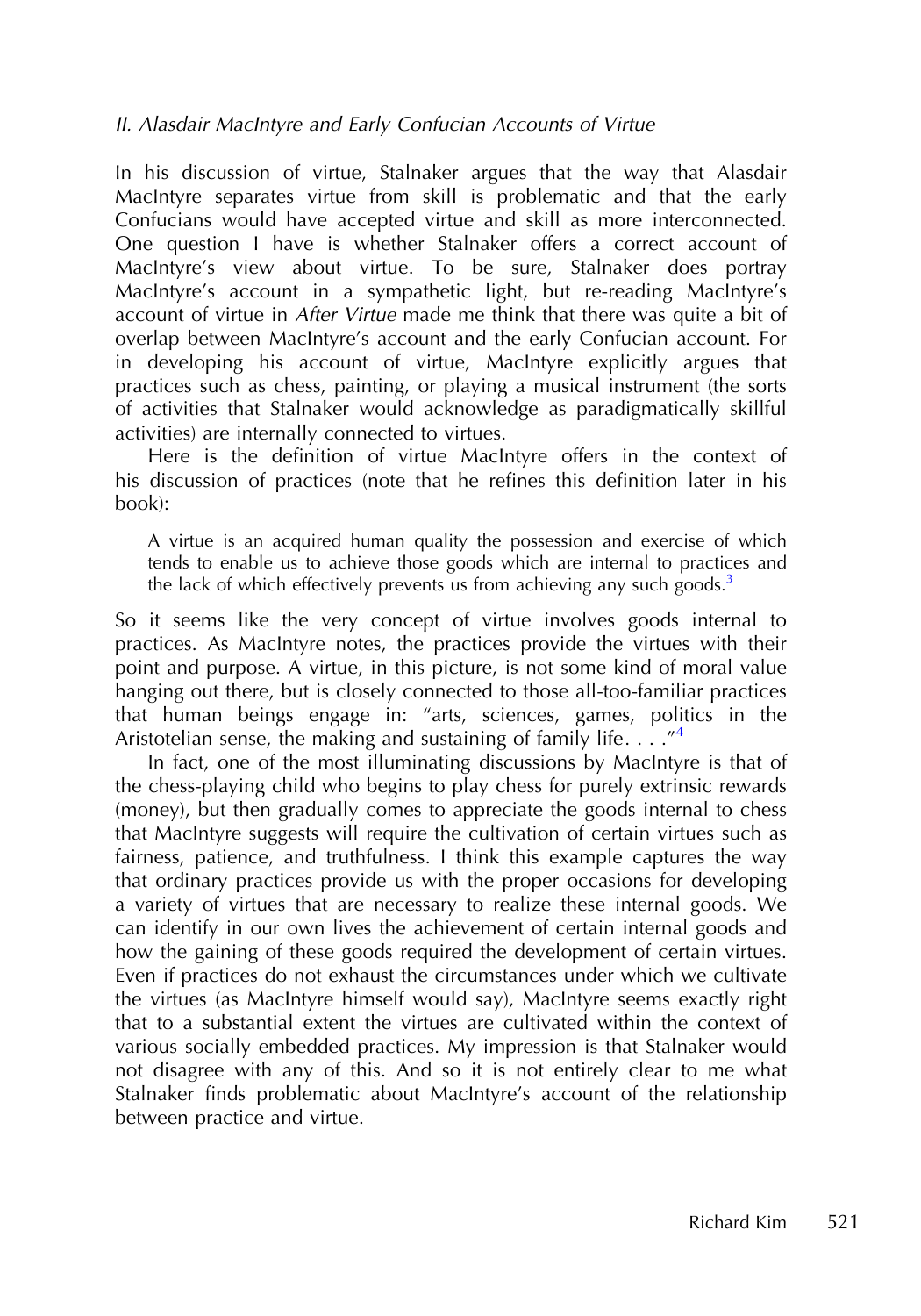## II. Alasdair MacIntyre and Early Confucian Accounts of Virtue

In his discussion of virtue, Stalnaker argues that the way that Alasdair MacIntyre separates virtue from skill is problematic and that the early Confucians would have accepted virtue and skill as more interconnected. One question I have is whether Stalnaker offers a correct account of MacIntyre's view about virtue. To be sure, Stalnaker does portray MacIntyre's account in a sympathetic light, but re-reading MacIntyre's account of virtue in After Virtue made me think that there was quite a bit of overlap between MacIntyre's account and the early Confucian account. For in developing his account of virtue, MacIntyre explicitly argues that practices such as chess, painting, or playing a musical instrument (the sorts of activities that Stalnaker would acknowledge as paradigmatically skillful activities) are internally connected to virtues.

Here is the definition of virtue MacIntyre offers in the context of his discussion of practices (note that he refines this definition later in his book):

A virtue is an acquired human quality the possession and exercise of which tends to enable us to achieve those goods which are internal to practices and the lack of which effectively prevents us from achieving any such goods. $3$ 

So it seems like the very concept of virtue involves goods internal to practices. As MacIntyre notes, the practices provide the virtues with their point and purpose. A virtue, in this picture, is not some kind of moral value hanging out there, but is closely connected to those all-too-familiar practices that human beings engage in: "arts, sciences, games, politics in the Aristotelian sense, the making and sustaining of family life.  $\ldots$ ."<sup>[4](#page--1-0)</sup>

In fact, one of the most illuminating discussions by MacIntyre is that of the chess-playing child who begins to play chess for purely extrinsic rewards (money), but then gradually comes to appreciate the goods internal to chess that MacIntyre suggests will require the cultivation of certain virtues such as fairness, patience, and truthfulness. I think this example captures the way that ordinary practices provide us with the proper occasions for developing a variety of virtues that are necessary to realize these internal goods. We can identify in our own lives the achievement of certain internal goods and how the gaining of these goods required the development of certain virtues. Even if practices do not exhaust the circumstances under which we cultivate the virtues (as MacIntyre himself would say), MacIntyre seems exactly right that to a substantial extent the virtues are cultivated within the context of various socially embedded practices. My impression is that Stalnaker would not disagree with any of this. And so it is not entirely clear to me what Stalnaker finds problematic about MacIntyre's account of the relationship between practice and virtue.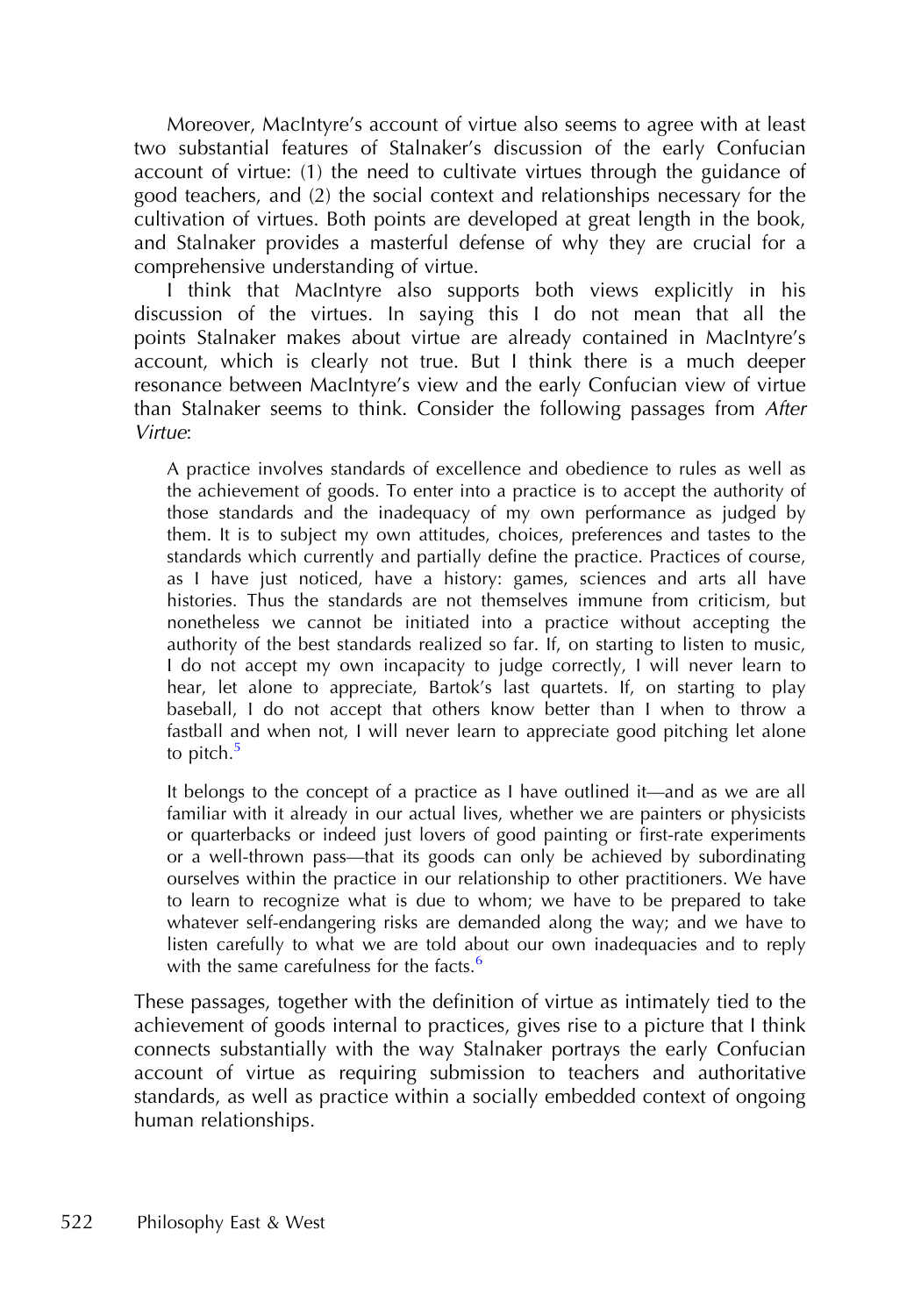Moreover, MacIntyre's account of virtue also seems to agree with at least two substantial features of Stalnaker's discussion of the early Confucian account of virtue: (1) the need to cultivate virtues through the guidance of good teachers, and (2) the social context and relationships necessary for the cultivation of virtues. Both points are developed at great length in the book, and Stalnaker provides a masterful defense of why they are crucial for a comprehensive understanding of virtue.

I think that MacIntyre also supports both views explicitly in his discussion of the virtues. In saying this I do not mean that all the points Stalnaker makes about virtue are already contained in MacIntyre's account, which is clearly not true. But I think there is a much deeper resonance between MacIntyre's view and the early Confucian view of virtue than Stalnaker seems to think. Consider the following passages from After Virtue:

A practice involves standards of excellence and obedience to rules as well as the achievement of goods. To enter into a practice is to accept the authority of those standards and the inadequacy of my own performance as judged by them. It is to subject my own attitudes, choices, preferences and tastes to the standards which currently and partially define the practice. Practices of course, as I have just noticed, have a history: games, sciences and arts all have histories. Thus the standards are not themselves immune from criticism, but nonetheless we cannot be initiated into a practice without accepting the authority of the best standards realized so far. If, on starting to listen to music, I do not accept my own incapacity to judge correctly, I will never learn to hear, let alone to appreciate, Bartok's last quartets. If, on starting to play baseball, I do not accept that others know better than I when to throw a fastball and when not, I will never learn to appreciate good pitching let alone to pitch.<sup>[5](#page--1-0)</sup>

It belongs to the concept of a practice as I have outlined it—and as we are all familiar with it already in our actual lives, whether we are painters or physicists or quarterbacks or indeed just lovers of good painting or first-rate experiments or a well-thrown pass—that its goods can only be achieved by subordinating ourselves within the practice in our relationship to other practitioners. We have to learn to recognize what is due to whom; we have to be prepared to take whatever self-endangering risks are demanded along the way; and we have to listen carefully to what we are told about our own inadequacies and to reply with the same carefulness for the facts. $6$ 

These passages, together with the definition of virtue as intimately tied to the achievement of goods internal to practices, gives rise to a picture that I think connects substantially with the way Stalnaker portrays the early Confucian account of virtue as requiring submission to teachers and authoritative standards, as well as practice within a socially embedded context of ongoing human relationships.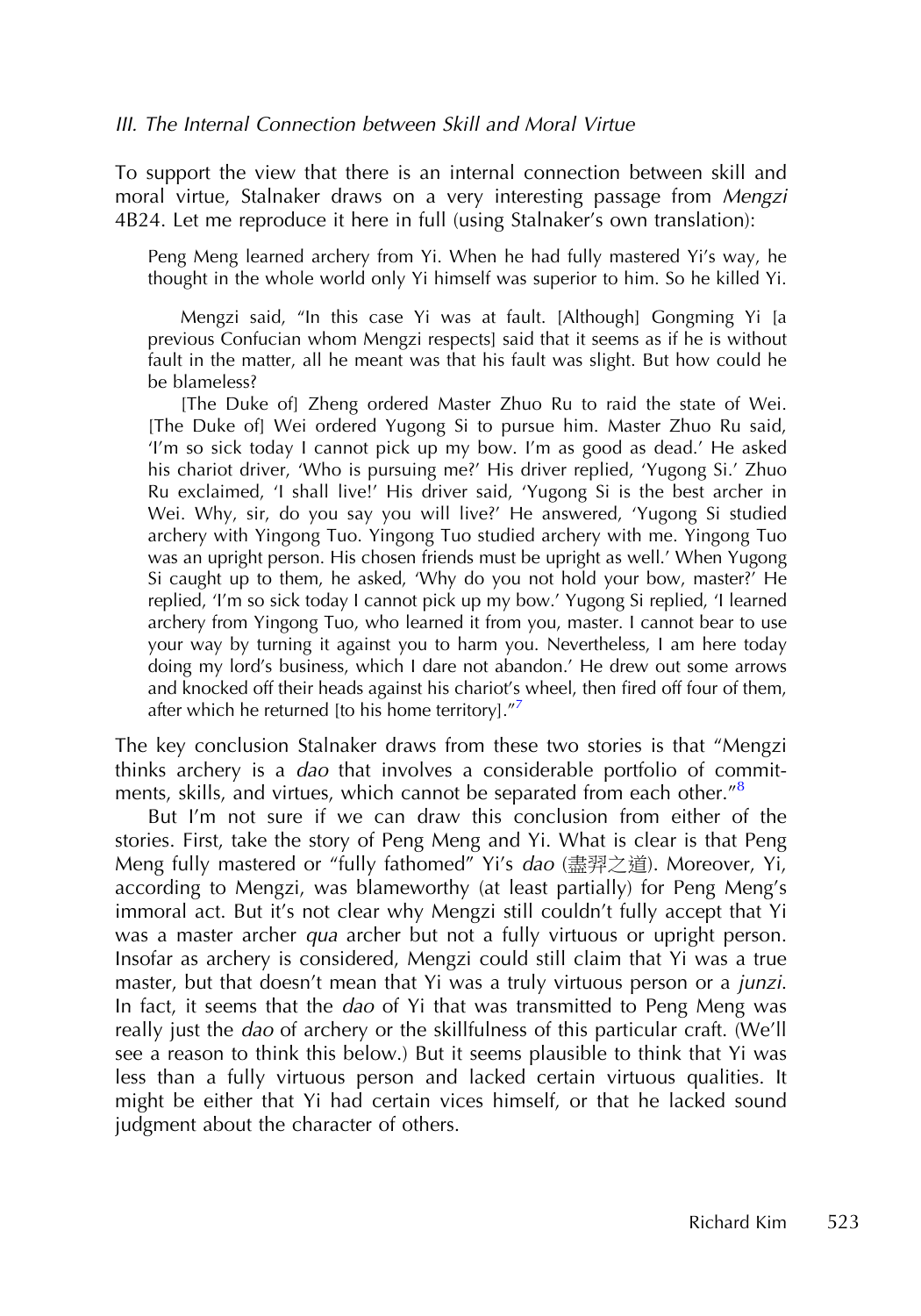#### III. The Internal Connection between Skill and Moral Virtue

To support the view that there is an internal connection between skill and moral virtue, Stalnaker draws on a very interesting passage from Mengzi 4B24. Let me reproduce it here in full (using Stalnaker's own translation):

Peng Meng learned archery from Yi. When he had fully mastered Yi's way, he thought in the whole world only Yi himself was superior to him. So he killed Yi.

Mengzi said, "In this case Yi was at fault. [Although] Gongming Yi [a previous Confucian whom Mengzi respects] said that it seems as if he is without fault in the matter, all he meant was that his fault was slight. But how could he be blameless?

[The Duke of] Zheng ordered Master Zhuo Ru to raid the state of Wei. [The Duke of] Wei ordered Yugong Si to pursue him. Master Zhuo Ru said, 'I'm so sick today I cannot pick up my bow. I'm as good as dead.' He asked his chariot driver, 'Who is pursuing me?' His driver replied, 'Yugong Si.' Zhuo Ru exclaimed, 'I shall live!' His driver said, 'Yugong Si is the best archer in Wei. Why, sir, do you say you will live?' He answered, 'Yugong Si studied archery with Yingong Tuo. Yingong Tuo studied archery with me. Yingong Tuo was an upright person. His chosen friends must be upright as well.' When Yugong Si caught up to them, he asked, 'Why do you not hold your bow, master?' He replied, 'I'm so sick today I cannot pick up my bow.' Yugong Si replied, 'I learned archery from Yingong Tuo, who learned it from you, master. I cannot bear to use your way by turning it against you to harm you. Nevertheless, I am here today doing my lord's business, which I dare not abandon.' He drew out some arrows and knocked off their heads against his chariot's wheel, then fired off four of them, after which he returned [to his home territory]. $77$  $77$ 

The key conclusion Stalnaker draws from these two stories is that "Mengzi thinks archery is a dao that involves a considerable portfolio of commit-ments, skills, and virtues, which cannot be separated from each other."<sup>[8](#page-6-0)</sup>

But I'm not sure if we can draw this conclusion from either of the stories. First, take the story of Peng Meng and Yi. What is clear is that Peng Meng fully mastered or "fully fathomed" Yi's dao (盡羿之道). Moreover, Yi, according to Mengzi, was blameworthy (at least partially) for Peng Meng's immoral act. But it's not clear why Mengzi still couldn't fully accept that Yi was a master archer *qua* archer but not a fully virtuous or upright person. Insofar as archery is considered, Mengzi could still claim that Yi was a true master, but that doesn't mean that Yi was a truly virtuous person or a junzi. In fact, it seems that the *dao* of Yi that was transmitted to Peng Meng was really just the dao of archery or the skillfulness of this particular craft. (We'll see a reason to think this below.) But it seems plausible to think that Yi was less than a fully virtuous person and lacked certain virtuous qualities. It might be either that Yi had certain vices himself, or that he lacked sound judgment about the character of others.